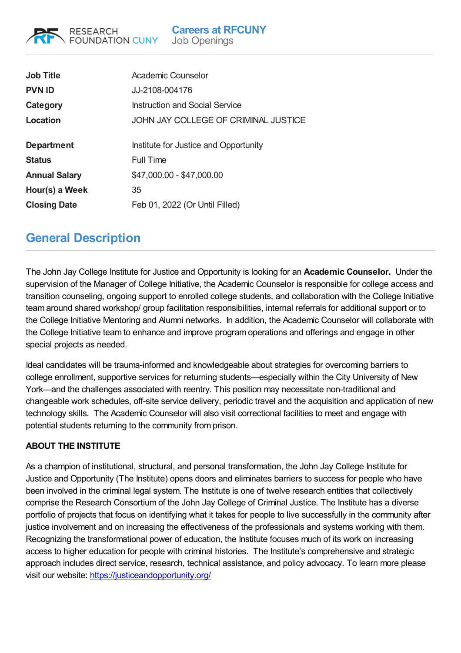**Careers at RFCUNY** Job Openings

| <b>Job Title</b><br><b>PVN ID</b> | Academic Counselor<br>JJ-2108-004176  |
|-----------------------------------|---------------------------------------|
| Category                          | <b>Instruction and Social Service</b> |
| Location                          | JOHN JAY COLLEGE OF CRIMINAL JUSTICE  |
| <b>Department</b>                 | Institute for Justice and Opportunity |
| <b>Status</b>                     | Full Time                             |
| <b>Annual Salary</b>              | \$47,000.00 - \$47,000.00             |
| Hour(s) a Week                    | 35                                    |
| <b>Closing Date</b>               | Feb 01, 2022 (Or Until Filled)        |

## **General Description**

RESEARCH

**FOUNDATION CUNY** 

The John Jay College Institute for Justice and Opportunity is looking for an **Academic Counselor.** Under the supervision of the Manager of College Initiative, the Academic Counselor is responsible for college access and transition counseling, ongoing support to enrolled college students, and collaboration with the College Initiative team around shared workshop/ group facilitation responsibilities, internal referrals for additional support or to the College Initiative Mentoring and Alumni networks. In addition, the Academic Counselor will collaborate with the College Initiative team to enhance and improve program operations and offerings and engage in other special projects as needed.

Ideal candidates will be trauma-informed and knowledgeable about strategies for overcoming barriers to college enrollment, supportive services for returning students—especially within the City University of New York—and the challenges associated with reentry. This position may necessitate non-traditional and changeable work schedules, off-site service delivery, periodic travel and the acquisition and application of new technology skills. The Academic Counselor will also visit correctional facilities to meet and engage with potential students returning to the community from prison.

## **ABOUT THE INSTITUTE**

As a champion of institutional, structural, and personal transformation, the John Jay College Institute for Justice and Opportunity (The Institute) opens doors and eliminates barriers to success for people who have been involved in the criminal legal system. The Institute is one of twelve research entities that collectively comprise the Research Consortium of the John Jay College of Criminal Justice. The Institute has a diverse portfolio of projects that focus on identifying what it takes for people to live successfully in the community after justice involvement and on increasing the effectiveness of the professionals and systems working with them. Recognizing the transformational power of education, the Institute focuses much of its work on increasing access to higher education for people with criminal histories. The Institute's comprehensive and strategic approach includes direct service, research, technical assistance, and policy advocacy. To learn more please visit our website: <https://justiceandopportunity.org/>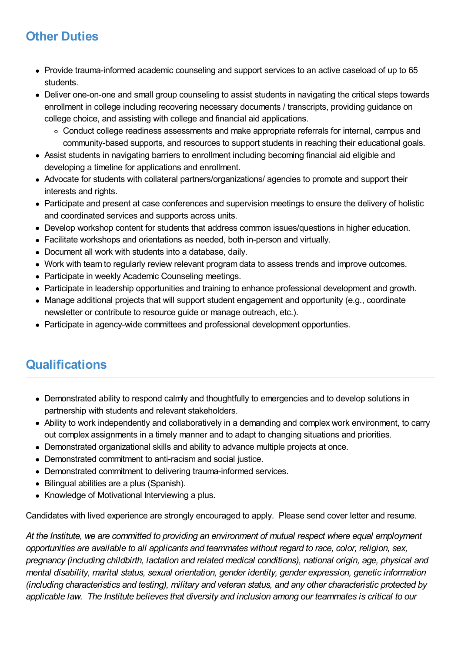## **Other Duties**

- Provide trauma-informed academic counseling and support services to an active caseload of up to 65 students.
- Deliver one-on-one and small group counseling to assist students in navigating the critical steps towards enrollment in college including recovering necessary documents / transcripts, providing guidance on college choice, and assisting with college and financial aid applications.
	- Conduct college readiness assessments and make appropriate referrals for internal, campus and community-based supports, and resources to support students in reaching their educational goals.
- Assist students in navigating barriers to enrollment including becoming financial aid eligible and developing a timeline for applications and enrollment.
- Advocate for students with collateral partners/organizations/ agencies to promote and support their interests and rights.
- Participate and present at case conferences and supervision meetings to ensure the delivery of holistic and coordinated services and supports across units.
- Develop workshop content for students that address common issues/questions in higher education.
- Facilitate workshops and orientations as needed, both in-person and virtually.
- Document all work with students into a database, daily.
- Work with team to regularly review relevant program data to assess trends and improve outcomes.
- Participate in weekly Academic Counseling meetings.
- Participate in leadership opportunities and training to enhance professional development and growth.
- Manage additional projects that will support student engagement and opportunity (e.g., coordinate newsletter or contribute to resource guide or manage outreach, etc.).
- Participate in agency-wide committees and professional development opportunties.

## **Qualifications**

- Demonstrated ability to respond calmly and thoughtfully to emergencies and to develop solutions in partnership with students and relevant stakeholders.
- Ability to work independently and collaboratively in a demanding and complex work environment, to carry out complex assignments in a timely manner and to adapt to changing situations and priorities.
- Demonstrated organizational skills and ability to advance multiple projects at once.
- Demonstrated commitment to anti-racism and social justice.
- Demonstrated commitment to delivering trauma-informed services.
- Bilingual abilities are a plus (Spanish).
- Knowledge of Motivational Interviewing a plus.

Candidates with lived experience are strongly encouraged to apply. Please send cover letter and resume.

*At the Institute, we are committed to providing an environment of mutual respect where equal employment opportunities are available to all applicants and teammates without regard to race, color, religion, sex, pregnancy (including childbirth, lactation and related medical conditions), national origin, age, physical and mental disability, marital status, sexual orientation, gender identity, gender expression, genetic information (including characteristics and testing), military and veteran status, and any other characteristic protected by applicable law. The Institute believes that diversity and inclusion among our teammates is critical to our*